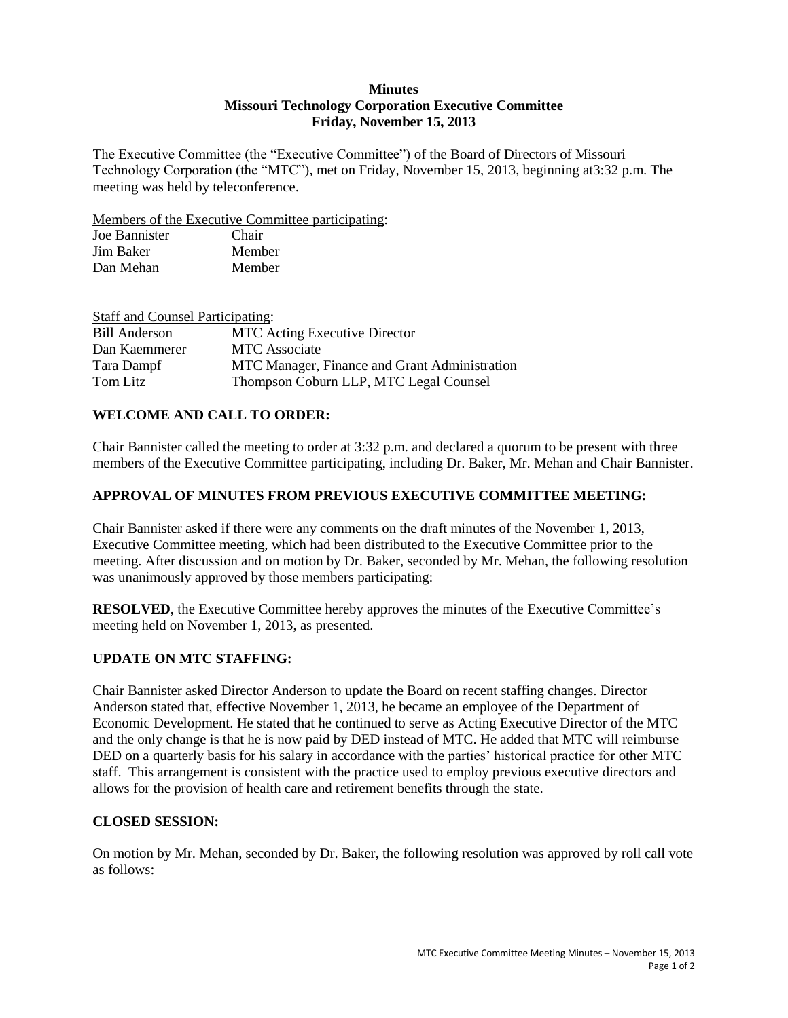#### **Minutes Missouri Technology Corporation Executive Committee Friday, November 15, 2013**

The Executive Committee (the "Executive Committee") of the Board of Directors of Missouri Technology Corporation (the "MTC"), met on Friday, November 15, 2013, beginning at3:32 p.m. The meeting was held by teleconference.

Members of the Executive Committee participating:

| Joe Bannister | Chair  |
|---------------|--------|
| Jim Baker     | Member |
| Dan Mehan     | Member |

| <b>Staff and Counsel Participating:</b> |                                               |
|-----------------------------------------|-----------------------------------------------|
| <b>Bill Anderson</b>                    | <b>MTC</b> Acting Executive Director          |
| Dan Kaemmerer                           | <b>MTC</b> Associate                          |
| Tara Dampf                              | MTC Manager, Finance and Grant Administration |
| Tom Litz                                | Thompson Coburn LLP, MTC Legal Counsel        |

## **WELCOME AND CALL TO ORDER:**

Chair Bannister called the meeting to order at 3:32 p.m. and declared a quorum to be present with three members of the Executive Committee participating, including Dr. Baker, Mr. Mehan and Chair Bannister.

### **APPROVAL OF MINUTES FROM PREVIOUS EXECUTIVE COMMITTEE MEETING:**

Chair Bannister asked if there were any comments on the draft minutes of the November 1, 2013, Executive Committee meeting, which had been distributed to the Executive Committee prior to the meeting. After discussion and on motion by Dr. Baker, seconded by Mr. Mehan, the following resolution was unanimously approved by those members participating:

**RESOLVED**, the Executive Committee hereby approves the minutes of the Executive Committee's meeting held on November 1, 2013, as presented.

# **UPDATE ON MTC STAFFING:**

Chair Bannister asked Director Anderson to update the Board on recent staffing changes. Director Anderson stated that, effective November 1, 2013, he became an employee of the Department of Economic Development. He stated that he continued to serve as Acting Executive Director of the MTC and the only change is that he is now paid by DED instead of MTC. He added that MTC will reimburse DED on a quarterly basis for his salary in accordance with the parties' historical practice for other MTC staff. This arrangement is consistent with the practice used to employ previous executive directors and allows for the provision of health care and retirement benefits through the state.

### **CLOSED SESSION:**

On motion by Mr. Mehan, seconded by Dr. Baker, the following resolution was approved by roll call vote as follows: